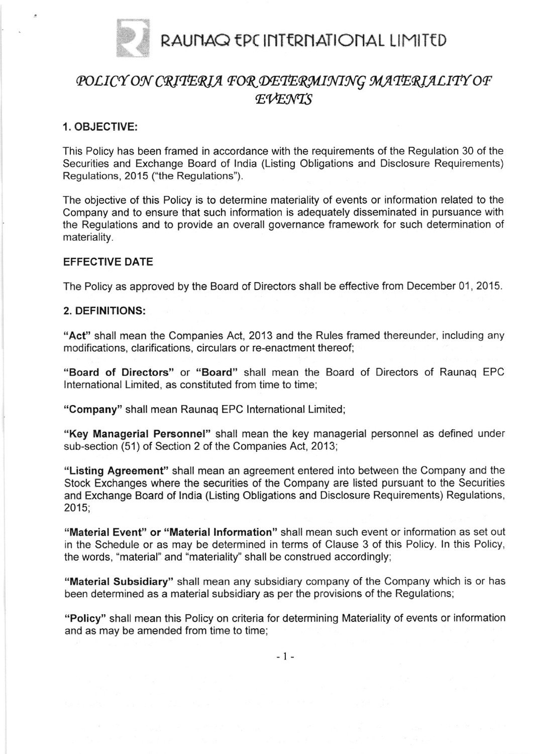

# POLICY ON CRITERIA FOR DETERMINING MATERIALITY OF  $EVENTS$

## 1. OBJECTIVE:

This Policy has been framed in accordance with the requirements of the Regulation 30 of the Securities and Exchange Board of lndia (Listing Obligations and Disclosure Requirements) Regulations, 2015 ("the Regulations").

The objective of this Policy is to determine materiality of events or information related to the Company and to ensure that such information is adequately disseminated in pursuance with the Regulations and to provide an overall governance framework for such determination of materiality.

#### EFFECTIVE DATE

The Policy as approved by the Board of Directors shall be effective from December 01, 2015.

#### 2. DEFINITIONS:

"Act" shall mean the Companies Act, 2013 and the Rules framed thereunder, including any modifications, clarifications, circulars or re-enactment thereof;

"Board of Directors" or "Board" shall mean the Board of Directors of Raunaq EPC lnternational Limited, as constituted from time to time;

"Company" shall mean Raunaq EPC lnternational Limited;

"Key Managerial Personnel" shall mean the key managerial personnel as defined under sub-section (51) of Section 2 of the Companies Act, 2013;

"Listing Agreement" shall mean an agreement entered into between the Company and the Stock Exchanges where the securities of the Company are listed pursuant to the Securities and Exchange Board of lndia (Listing Obligations and Disclosure Requirements) Regulations, 2015,

"Material Event" or "Material lnformation" shall mean such event or information as set out in the Schedule or as may be determined in terms of Clause 3 of this Policy. ln this Policy, the words, "material" and "materiality" shall be construed accordingly;

"Material Subsidiary" shall mean any subsidiary company of the Company which is or has been determined as a material subsidiary as per the provisions of the Regulations;

"Policy" shall mean this Policy on criteria for determining Materiality of events or information and as may be amended from time to time;

 $-1 -$